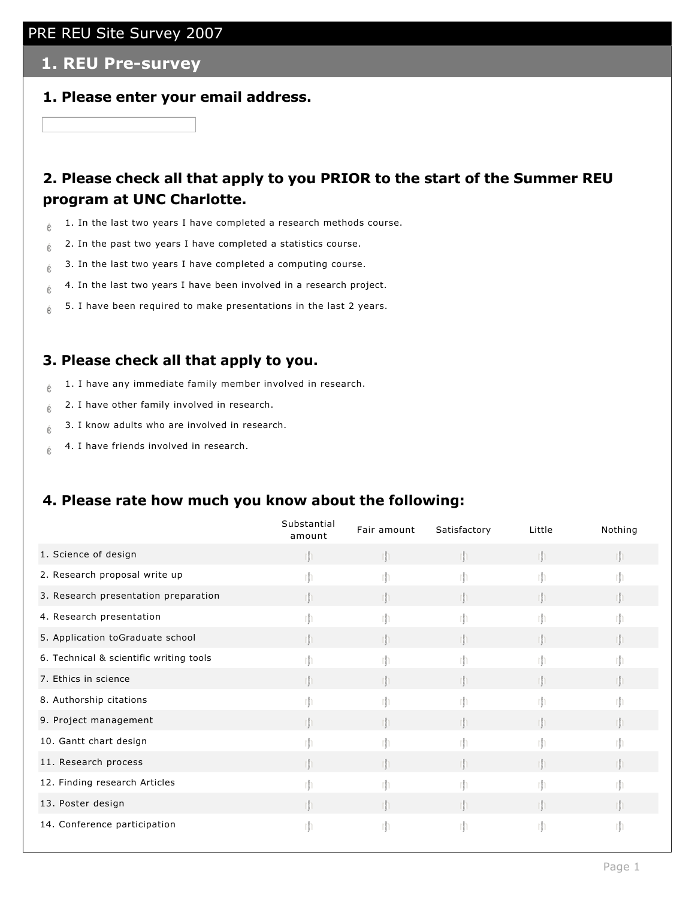#### **1. REU Pre-survey**

**1. Please enter your email address.**

## **2. Please check all that apply to you PRIOR to the start of the Summer REU program at UNC Charlotte.**

- $\frac{1}{6}$  1. In the last two years I have completed a research methods course.
- $\frac{1}{6}$  2. In the past two years I have completed a statistics course.
- $\phi$  3. In the last two years I have completed a computing course.
- $\phi$  4. In the last two years I have been involved in a research project.
- $\phi$  5. I have been required to make presentations in the last 2 years.

#### **3. Please check all that apply to you.**

- $\frac{1}{6}$  1. I have any immediate family member involved in research.
- $\phi$  2. I have other family involved in research.
- $\phi$  3. I know adults who are involved in research.
- $\phi$  4. I have friends involved in research.

#### **4. Please rate how much you know about the following:**

|                                         | Substantial<br>amount | Fair amount | Satisfactory | Little | Nothing |
|-----------------------------------------|-----------------------|-------------|--------------|--------|---------|
| 1. Science of design                    |                       |             |              |        |         |
| 2. Research proposal write up           |                       |             |              |        |         |
| 3. Research presentation preparation    | rh                    |             |              | тh     |         |
| 4. Research presentation                |                       |             |              |        |         |
| 5. Application toGraduate school        | rh.                   |             | rn.          |        |         |
| 6. Technical & scientific writing tools | rh                    | rh          | rh.          | rh     | rh      |
| 7. Ethics in science                    |                       |             |              |        |         |
| 8. Authorship citations                 | m                     | rh          | rh.          | m      |         |
| 9. Project management                   |                       |             |              |        |         |
| 10. Gantt chart design                  |                       |             |              |        |         |
| 11. Research process                    |                       |             |              |        |         |
| 12. Finding research Articles           |                       |             |              |        |         |
| 13. Poster design                       | rh                    |             |              | rh     | rh      |
| 14. Conference participation            |                       |             |              |        | rh      |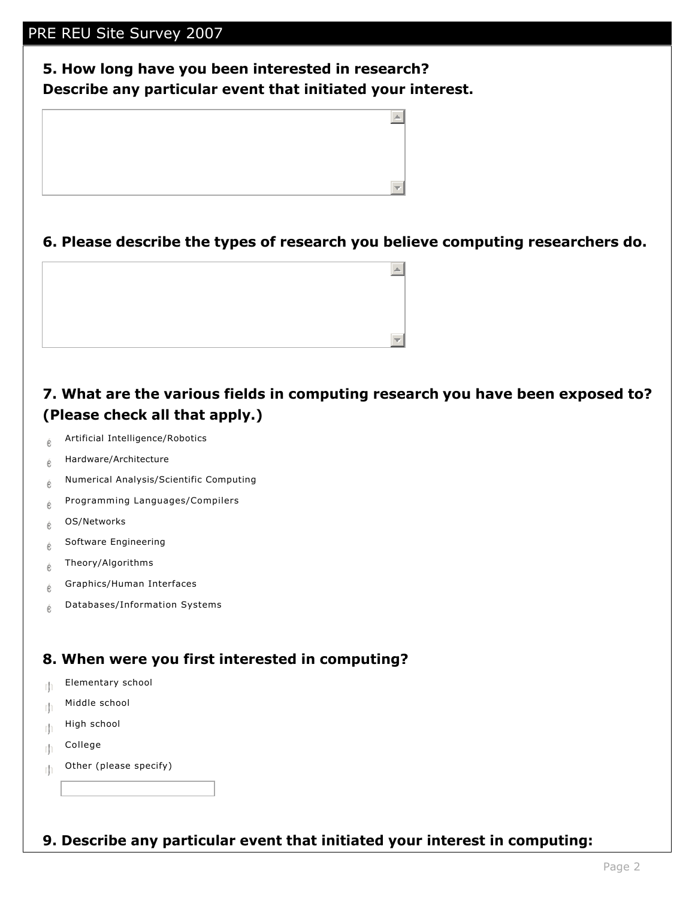## **5. How long have you been interested in research? Describe any particular event that initiated your interest.**



#### **6. Please describe the types of research you believe computing researchers do.**

 $\left. \rule{0.3cm}{0.15cm} \right|$ 

## **7. What are the various fields in computing research you have been exposed to? (Please check all that apply.)**

- $e^{\theta}$  Artificial Intelligence/Robotics
- $e$  Hardware/Architecture
- $e$  Numerical Analysis/Scientific Computing
- $e^e$  Programming Languages/Compilers
- $e^{\theta}$  OS/Networks
- $\phi$  Software Engineering
- $e^{\theta}$  Theory/Algorithms
- $e^{\theta}$  Graphics/Human Interfaces
- $\phi$  Databases/Information Systems

## **8. When were you first interested in computing?**

- $\mathbb{F}$  Elementary school
- $\mathbb{N}$  Middle school
- $\mathbb{H}$  High school
- $m$  College
- $\mathbb{F}$  Other (please specify)

#### **9. Describe any particular event that initiated your interest in computing:**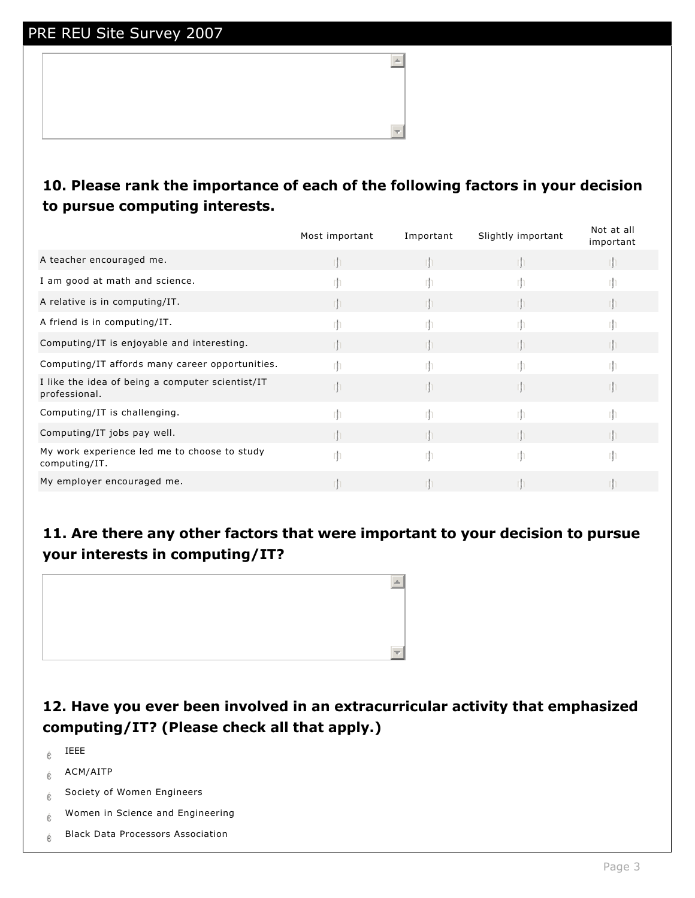## **10. Please rank the importance of each of the following factors in your decision to pursue computing interests.**

 $\left| \right|$ 

|                                                                   | Most important | Important | Slightly important | Not at all<br>important |
|-------------------------------------------------------------------|----------------|-----------|--------------------|-------------------------|
| A teacher encouraged me.                                          |                |           |                    |                         |
| I am good at math and science.                                    |                |           |                    |                         |
| A relative is in computing/IT.                                    |                |           |                    |                         |
| A friend is in computing/IT.                                      |                |           |                    |                         |
| Computing/IT is enjoyable and interesting.                        |                |           |                    |                         |
| Computing/IT affords many career opportunities.                   |                |           |                    |                         |
| I like the idea of being a computer scientist/IT<br>professional. |                |           |                    |                         |
| Computing/IT is challenging.                                      |                |           |                    |                         |
| Computing/IT jobs pay well.                                       |                |           |                    |                         |
| My work experience led me to choose to study<br>computing/IT.     | rn             |           |                    |                         |
| My employer encouraged me.                                        |                |           |                    |                         |

## **11. Are there any other factors that were important to your decision to pursue your interests in computing/IT?**



## **12. Have you ever been involved in an extracurricular activity that emphasized computing/IT? (Please check all that apply.)**

- $\acute{\text{e}}$  IEEE
- $e^+$  ACM/AITP
- $e$  Society of Women Engineers
- $e$  Women in Science and Engineering
- $\phi$  Black Data Processors Association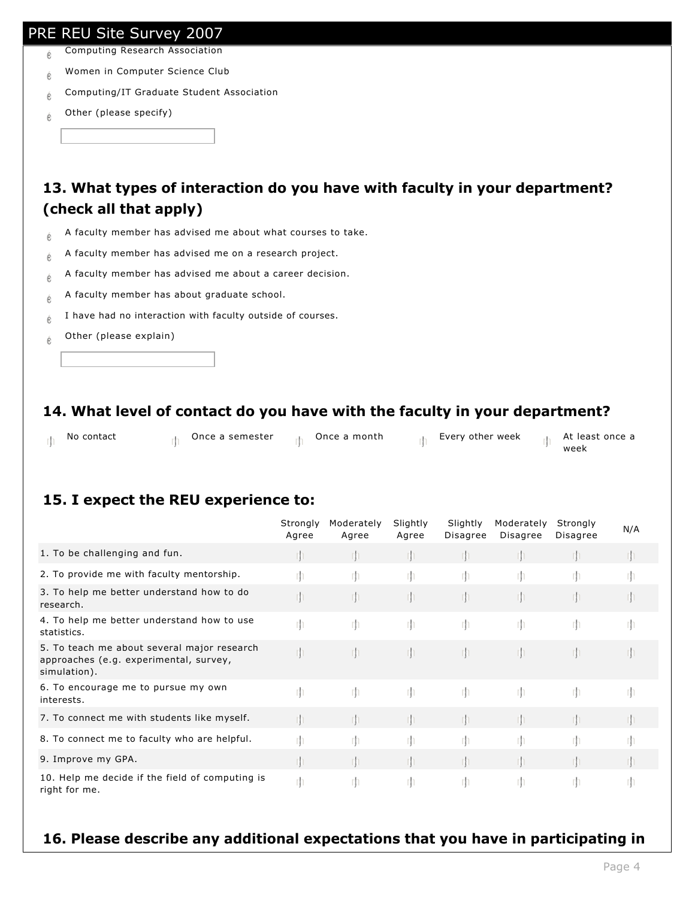- $\phi$  Computing Research Association
- $e$  Women in Computer Science Club
- $\phi$  Computing/IT Graduate Student Association
- $\phi$  Other (please specify)

## **13. What types of interaction do you have with faculty in your department? (check all that apply)**

- $\phi$  A faculty member has advised me about what courses to take.
- $\phi$  A faculty member has advised me on a research project.
- $\phi$  A faculty member has advised me about a career decision.
- $\phi$  A faculty member has about graduate school.
- $\phi$  I have had no interaction with faculty outside of courses.
- $\phi$  Other (please explain)

## **14. What level of contact do you have with the faculty in your department?**

| No contact | Once a semester | Once a month | Every other week | - At least once a<br>week |
|------------|-----------------|--------------|------------------|---------------------------|
|            |                 |              |                  |                           |

## **15. I expect the REU experience to:**

|                                                                                                       | Strongly<br>Agree | Moderately<br>Agree | Slightly<br>Agree | Slightly<br>Disagree | Moderately<br>Disagree | Strongly<br>Disagree | N/A  |
|-------------------------------------------------------------------------------------------------------|-------------------|---------------------|-------------------|----------------------|------------------------|----------------------|------|
| 1. To be challenging and fun.                                                                         |                   |                     |                   | rh                   |                        |                      | rh   |
| 2. To provide me with faculty mentorship.                                                             | m                 | -rjn                | m                 | m                    | -rh                    | -rh                  | m    |
| 3. To help me better understand how to do<br>research.                                                |                   | - In                | rh.               | $\mathbb{I}$         |                        |                      | Iþ.  |
| 4. To help me better understand how to use<br>statistics.                                             | -rh               | m                   | -m                | -rh                  | -rh                    | Iħ.                  | -rjn |
| 5. To teach me about several major research<br>approaches (e.g. experimental, survey,<br>simulation). | - Ih              | rh.                 | Ih.               | $\mathbb{I}$         | rh                     | $\mathsf{m}$         | Th   |
| 6. To encourage me to pursue my own<br>interests.                                                     | -rh               | m                   | -m                | -rh                  | -rh                    | Iħ.                  | m    |
| 7. To connect me with students like myself.                                                           |                   | Тľ                  | rh.               | m                    |                        |                      | rh   |
| 8. To connect me to faculty who are helpful.                                                          | rh                | rh                  | m                 | rh.                  | rh                     | -rh                  | m    |
| 9. Improve my GPA.                                                                                    |                   |                     |                   | m                    |                        |                      |      |
| 10. Help me decide if the field of computing is<br>right for me.                                      | m                 | rh.                 | m                 | m                    | -rjn                   | -rh                  | m    |

#### **16. Please describe any additional expectations that you have in participating in**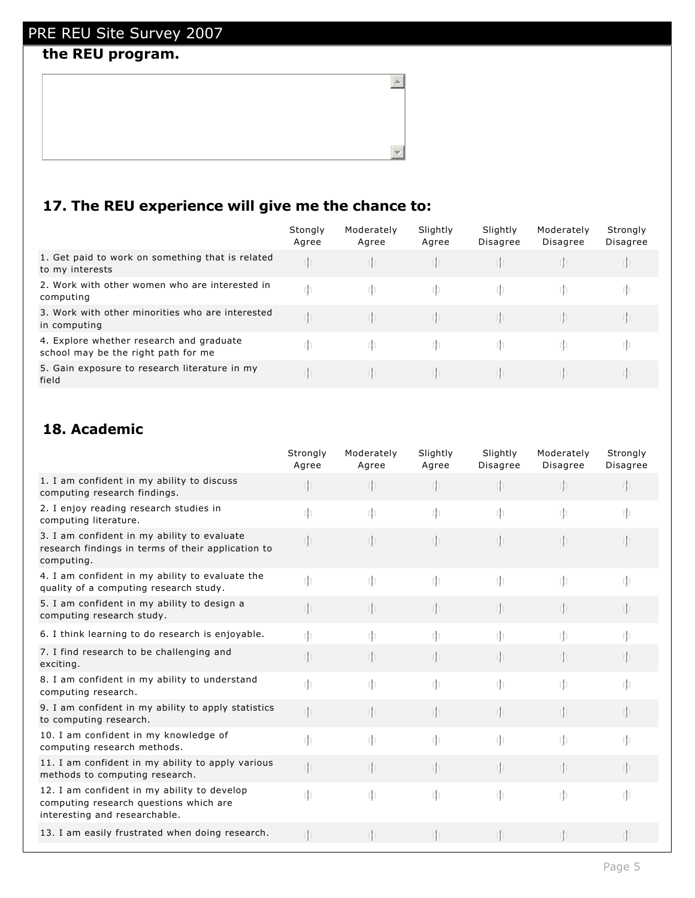## **the REU program.**

| 17. The REU experience will give me the chance to: |  |  |  |  |
|----------------------------------------------------|--|--|--|--|
|----------------------------------------------------|--|--|--|--|

|                                                                                 | Stongly<br>Agree | Moderately<br>Agree | Slightly<br>Agree | Slightly<br><b>Disagree</b> | Moderately<br><b>Disagree</b> | Strongly<br><b>Disagree</b> |
|---------------------------------------------------------------------------------|------------------|---------------------|-------------------|-----------------------------|-------------------------------|-----------------------------|
| 1. Get paid to work on something that is related<br>to my interests             |                  |                     |                   |                             |                               |                             |
| 2. Work with other women who are interested in<br>computing                     | m                |                     | m.                | rn.                         |                               |                             |
| 3. Work with other minorities who are interested<br>in computing                |                  |                     |                   |                             |                               |                             |
| 4. Explore whether research and graduate<br>school may be the right path for me |                  |                     | m.                |                             |                               |                             |
| 5. Gain exposure to research literature in my<br>field                          |                  |                     |                   |                             |                               |                             |

 $\Box$ 

 $\overline{\mathcal{A}}$ 

## **18. Academic**

|                                                                                                                        | Strongly<br>Agree | Moderately<br>Agree | Slightly<br>Agree | Slightly<br>Disagree | Moderately<br>Disagree | Strongly<br><b>Disagree</b> |
|------------------------------------------------------------------------------------------------------------------------|-------------------|---------------------|-------------------|----------------------|------------------------|-----------------------------|
| 1. I am confident in my ability to discuss<br>computing research findings.                                             | m                 |                     | $\mathbb{I}$      | rh                   | $\mathbb{I}$           |                             |
| 2. I enjoy reading research studies in<br>computing literature.                                                        | rh                | m                   | m                 | m                    | m                      | rh                          |
| 3. I am confident in my ability to evaluate<br>research findings in terms of their application to<br>computing.        | rh                | Iľ                  | n                 | rh                   | m                      |                             |
| 4. I am confident in my ability to evaluate the<br>quality of a computing research study.                              | m                 | m                   | m                 | m                    | m                      | rh                          |
| 5. I am confident in my ability to design a<br>computing research study.                                               | rh                | m                   | $\mathbb{I}$      | rh                   | $\mathbb{I}$           |                             |
| 6. I think learning to do research is enjoyable.                                                                       | m                 |                     | rh.               | m                    | m                      |                             |
| 7. I find research to be challenging and<br>exciting.                                                                  | rþ.               |                     | Th.               | m                    | In.                    |                             |
| 8. I am confident in my ability to understand<br>computing research.                                                   | m                 | m                   | m                 | m                    | m                      | rh                          |
| 9. I am confident in my ability to apply statistics<br>to computing research.                                          | ıþ                |                     | $\mathbb{I}$      | m                    | $\mathbb{I}$           |                             |
| 10. I am confident in my knowledge of<br>computing research methods.                                                   | m                 | rh                  | m                 | m                    | m                      |                             |
| 11. I am confident in my ability to apply various<br>methods to computing research.                                    | m                 | m                   | $\mathbb{I}$      | m                    | $\mathbb{I}$           |                             |
| 12. I am confident in my ability to develop<br>computing research questions which are<br>interesting and researchable. | rh                | m                   | m                 | m                    | m                      |                             |
| 13. I am easily frustrated when doing research.                                                                        | Th                |                     | m                 |                      | rh.                    |                             |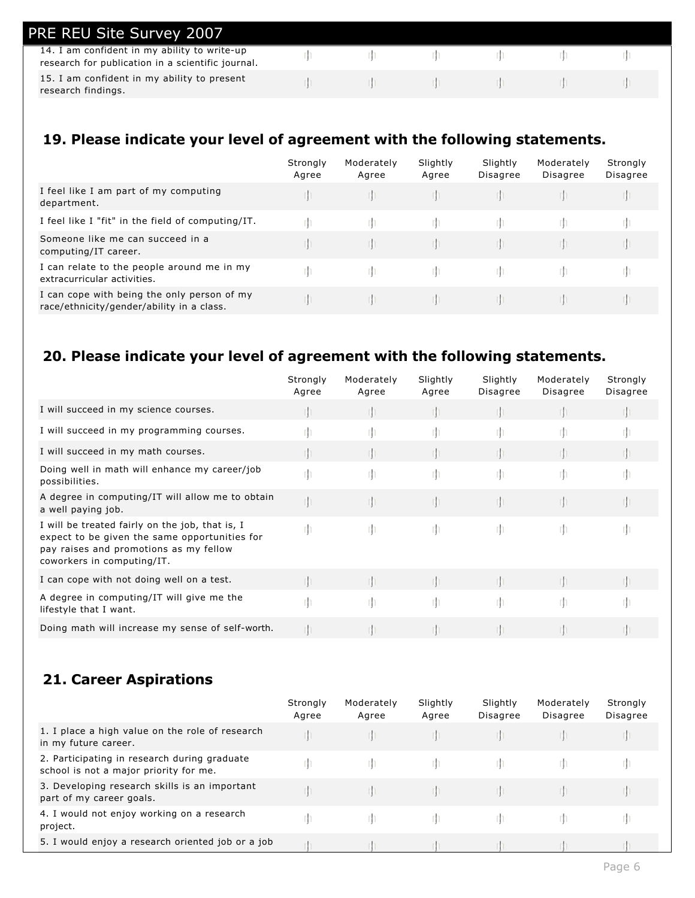| PRE REU Site Survey 2007                                                                          |  |  |  |
|---------------------------------------------------------------------------------------------------|--|--|--|
| 14. I am confident in my ability to write-up<br>research for publication in a scientific journal. |  |  |  |
| 15. I am confident in my ability to present<br>research findings.                                 |  |  |  |

## **19. Please indicate your level of agreement with the following statements.**

|                                                                                          | Strongly<br>Agree | Moderately<br>Agree | Slightly<br>Agree | Slightly<br><b>Disagree</b> | Moderately<br><b>Disagree</b> | Strongly<br><b>Disagree</b> |
|------------------------------------------------------------------------------------------|-------------------|---------------------|-------------------|-----------------------------|-------------------------------|-----------------------------|
| I feel like I am part of my computing<br>department.                                     |                   |                     |                   |                             |                               |                             |
| I feel like I "fit" in the field of computing/IT.                                        |                   |                     |                   |                             |                               |                             |
| Someone like me can succeed in a<br>computing/IT career.                                 |                   |                     | m                 |                             |                               |                             |
| I can relate to the people around me in my<br>extracurricular activities.                |                   |                     | m                 |                             |                               |                             |
| I can cope with being the only person of my<br>race/ethnicity/gender/ability in a class. |                   |                     |                   |                             |                               |                             |

## **20. Please indicate your level of agreement with the following statements.**

|                                                                                                                                                                          | Strongly<br>Agree | Moderately<br>Agree | Slightly<br>Agree | Slightly<br>Disagree | Moderately<br>Disagree | Strongly<br>Disagree |
|--------------------------------------------------------------------------------------------------------------------------------------------------------------------------|-------------------|---------------------|-------------------|----------------------|------------------------|----------------------|
| I will succeed in my science courses.                                                                                                                                    |                   |                     |                   |                      |                        |                      |
| I will succeed in my programming courses.                                                                                                                                | rh                |                     |                   |                      |                        |                      |
| I will succeed in my math courses.                                                                                                                                       |                   |                     |                   |                      |                        |                      |
| Doing well in math will enhance my career/job<br>possibilities.                                                                                                          | rh                | rh                  | m                 | rh                   | rh                     |                      |
| A degree in computing/IT will allow me to obtain<br>a well paying job.                                                                                                   | []                |                     | m                 | m                    |                        |                      |
| I will be treated fairly on the job, that is, I<br>expect to be given the same opportunities for<br>pay raises and promotions as my fellow<br>coworkers in computing/IT. | rh                | rh                  | -rh               | -rh                  | m                      | m                    |
| I can cope with not doing well on a test.                                                                                                                                |                   |                     |                   |                      |                        |                      |
| A degree in computing/IT will give me the<br>lifestyle that I want.                                                                                                      | rh                | rh                  | rh.               | -rh                  | rh                     |                      |
| Doing math will increase my sense of self-worth.                                                                                                                         | rh.               |                     |                   |                      |                        |                      |

## **21. Career Aspirations**

|                                                                                        | Strongly<br>Agree | Moderately<br>Agree | Slightly<br>Agree | Slightly<br>Disagree | Moderately<br>Disagree | Strongly<br><b>Disagree</b> |
|----------------------------------------------------------------------------------------|-------------------|---------------------|-------------------|----------------------|------------------------|-----------------------------|
| 1. I place a high value on the role of research<br>in my future career.                |                   |                     |                   |                      |                        |                             |
| 2. Participating in research during graduate<br>school is not a major priority for me. |                   |                     |                   |                      |                        |                             |
| 3. Developing research skills is an important<br>part of my career goals.              |                   |                     |                   |                      |                        |                             |
| 4. I would not enjoy working on a research<br>project.                                 |                   |                     |                   |                      |                        |                             |
| 5. I would enjoy a research oriented job or a job                                      |                   |                     |                   |                      |                        |                             |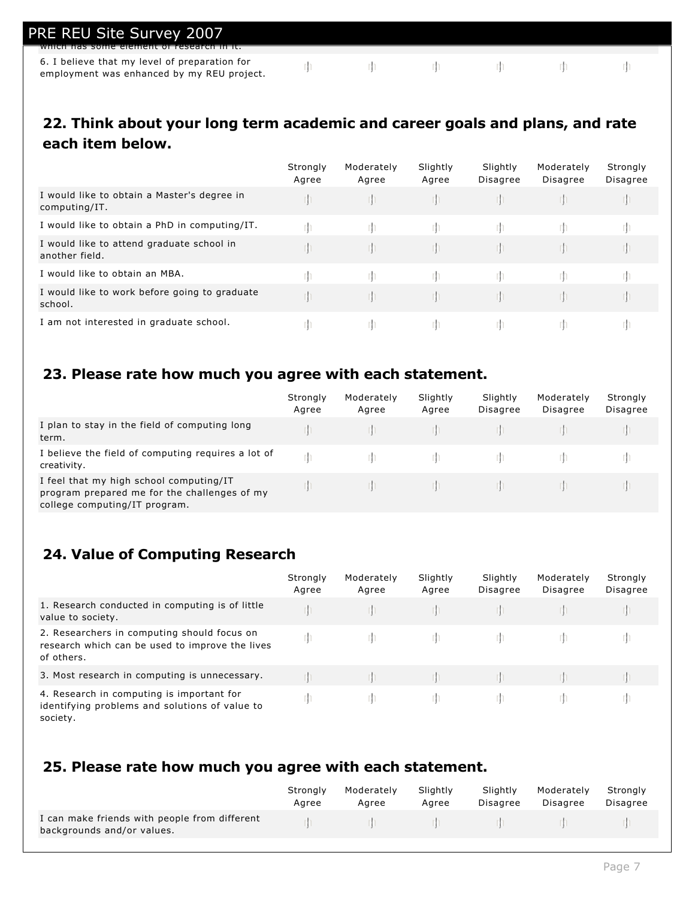| PRE REU Site Survey 2007<br><u>- willch has some element of research in it.</u>             |  |  |  |
|---------------------------------------------------------------------------------------------|--|--|--|
|                                                                                             |  |  |  |
| 6. I believe that my level of preparation for<br>employment was enhanced by my REU project. |  |  |  |

## **22. Think about your long term academic and career goals and plans, and rate each item below.**

|                                                              | Strongly<br>Agree | Moderately<br>Agree | Slightly<br>Agree | Slightly<br><b>Disagree</b> | Moderately<br><b>Disagree</b> | Strongly<br>Disagree |
|--------------------------------------------------------------|-------------------|---------------------|-------------------|-----------------------------|-------------------------------|----------------------|
| I would like to obtain a Master's degree in<br>computing/IT. |                   |                     | m                 |                             |                               |                      |
| I would like to obtain a PhD in computing/IT.                |                   |                     |                   |                             |                               |                      |
| I would like to attend graduate school in<br>another field.  |                   |                     | m                 |                             |                               |                      |
| I would like to obtain an MBA.                               |                   |                     | rn                |                             |                               |                      |
| I would like to work before going to graduate<br>school.     |                   |                     | m                 |                             |                               |                      |
| I am not interested in graduate school.                      |                   |                     | m                 |                             | m                             |                      |

## **23. Please rate how much you agree with each statement.**

|                                                                                                                          | Strongly<br>Agree | Moderately<br>Agree | Slightly<br>Agree | Slightly<br><b>Disagree</b> | Moderately<br><b>Disagree</b> | Strongly<br>Disagree |
|--------------------------------------------------------------------------------------------------------------------------|-------------------|---------------------|-------------------|-----------------------------|-------------------------------|----------------------|
| I plan to stay in the field of computing long<br>term.                                                                   |                   |                     |                   |                             |                               |                      |
| I believe the field of computing requires a lot of<br>creativity.                                                        |                   |                     |                   |                             |                               |                      |
| I feel that my high school computing/IT<br>program prepared me for the challenges of my<br>college computing/IT program. |                   |                     |                   |                             |                               |                      |

## **24. Value of Computing Research**

|                                                                                                              | Strongly<br>Agree | Moderately<br>Agree | Slightly<br>Agree | Slightly<br>Disagree | Moderately<br>Disagree | Strongly<br>Disagree |
|--------------------------------------------------------------------------------------------------------------|-------------------|---------------------|-------------------|----------------------|------------------------|----------------------|
| 1. Research conducted in computing is of little<br>value to society.                                         |                   |                     |                   |                      |                        |                      |
| 2. Researchers in computing should focus on<br>research which can be used to improve the lives<br>of others. | m                 |                     | m.                |                      |                        |                      |
| 3. Most research in computing is unnecessary.                                                                |                   |                     |                   |                      |                        |                      |
| 4. Research in computing is important for<br>identifying problems and solutions of value to<br>society.      |                   |                     | m.                |                      |                        |                      |

## **25. Please rate how much you agree with each statement.**

|                                                                             | Strongly | Moderately | Slightly | Slightly                                                                                              | Moderately | Stronaly |
|-----------------------------------------------------------------------------|----------|------------|----------|-------------------------------------------------------------------------------------------------------|------------|----------|
|                                                                             | Aaree    | Agree      | Agree    | Disagree                                                                                              | Disagree   | Disagree |
| I can make friends with people from different<br>backgrounds and/or values. |          |            |          | $\mathbb{R}^n$ is the set of $\mathbb{R}^n$ in the set of $\mathbb{R}^n$ is the set of $\mathbb{R}^n$ |            |          |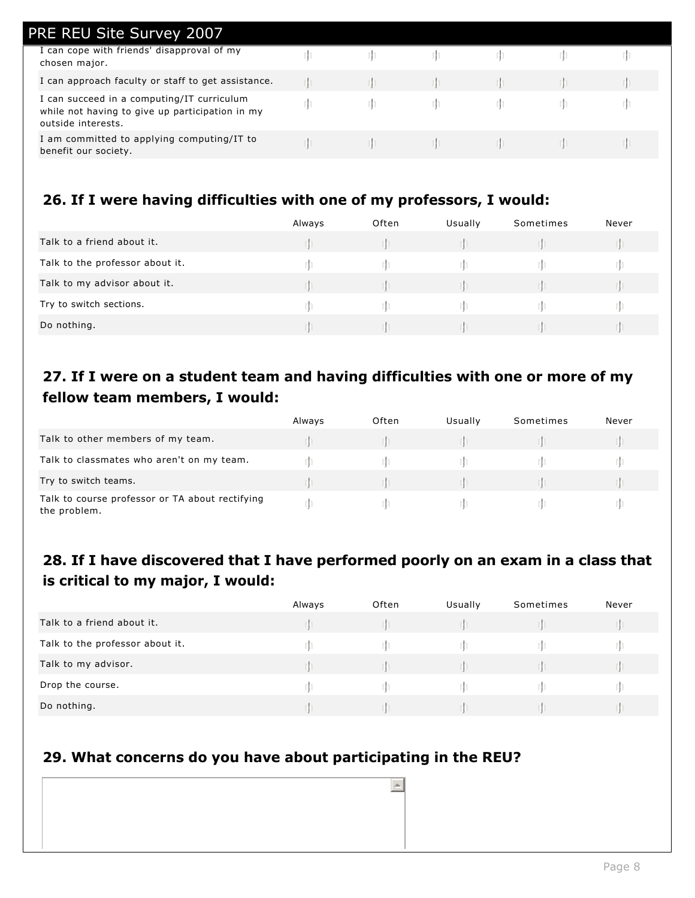| <b>PRE REU Site Survey 2007</b>                                                                                     |  |  |  |
|---------------------------------------------------------------------------------------------------------------------|--|--|--|
| I can cope with friends' disapproval of my<br>chosen major.                                                         |  |  |  |
| I can approach faculty or staff to get assistance.                                                                  |  |  |  |
| I can succeed in a computing/IT curriculum<br>while not having to give up participation in my<br>outside interests. |  |  |  |
| I am committed to applying computing/IT to<br>benefit our society.                                                  |  |  |  |

## **26. If I were having difficulties with one of my professors, I would:**

|                                 | Always | Often | Usually | Sometimes | Never |
|---------------------------------|--------|-------|---------|-----------|-------|
| Talk to a friend about it.      |        |       |         |           |       |
| Talk to the professor about it. |        |       |         |           |       |
| Talk to my advisor about it.    |        |       |         |           |       |
| Try to switch sections.         |        |       |         |           |       |
| Do nothing.                     |        |       |         |           |       |

## **27. If I were on a student team and having difficulties with one or more of my fellow team members, I would:**

|                                                                 | Always | Often | Usually | Sometimes | Never |
|-----------------------------------------------------------------|--------|-------|---------|-----------|-------|
| Talk to other members of my team.                               |        |       |         |           |       |
| Talk to classmates who aren't on my team.                       |        |       |         |           |       |
| Try to switch teams.                                            |        |       |         |           |       |
| Talk to course professor or TA about rectifying<br>the problem. |        |       |         |           |       |

## **28. If I have discovered that I have performed poorly on an exam in a class that is critical to my major, I would:**

|                                 | Always | Often | Usually | Sometimes | Never |
|---------------------------------|--------|-------|---------|-----------|-------|
| Talk to a friend about it.      |        |       |         |           |       |
| Talk to the professor about it. |        |       |         |           |       |
| Talk to my advisor.             |        |       |         |           |       |
| Drop the course.                |        |       |         |           |       |
| Do nothing.                     |        |       |         |           |       |

 $\left| \right|$ 

## **29. What concerns do you have about participating in the REU?**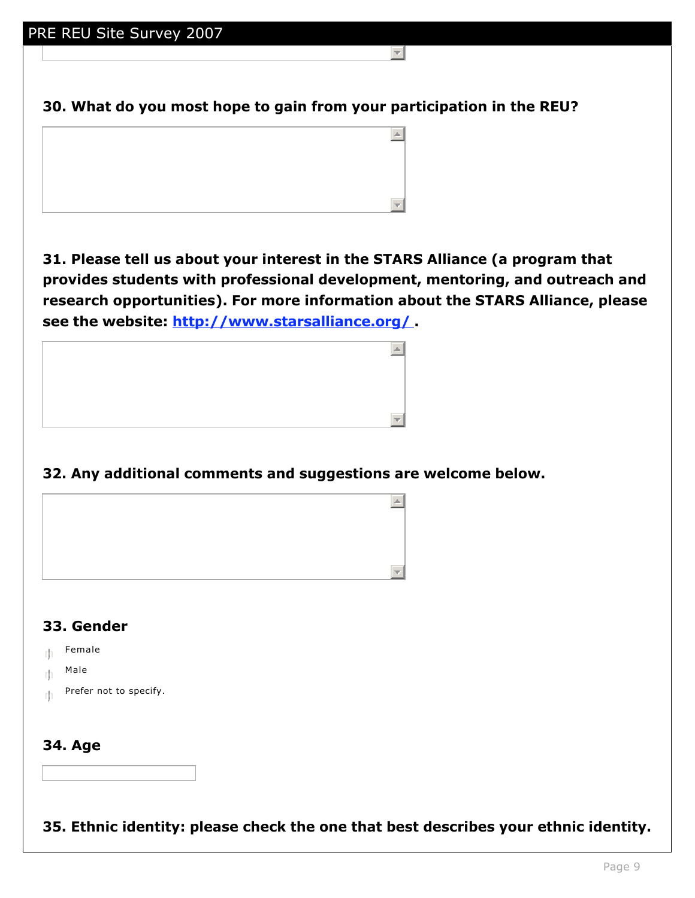**30. What do you most hope to gain from your participation in the REU?**

 $\leftarrow$ 



**31. Please tell us about your interest in the STARS Alliance (a program that provides students with professional development, mentoring, and outreach and research opportunities). For more information about the STARS Alliance, please see the website: http://www.starsalliance.org/ .**



## **32. Any additional comments and suggestions are welcome below.**



## **33. Gender**

 $m$  Female

- $\mathbb{E}$  Male
- $\mathbb{F}$  Prefer not to specify.

#### **34. Age**

**35. Ethnic identity: please check the one that best describes your ethnic identity.**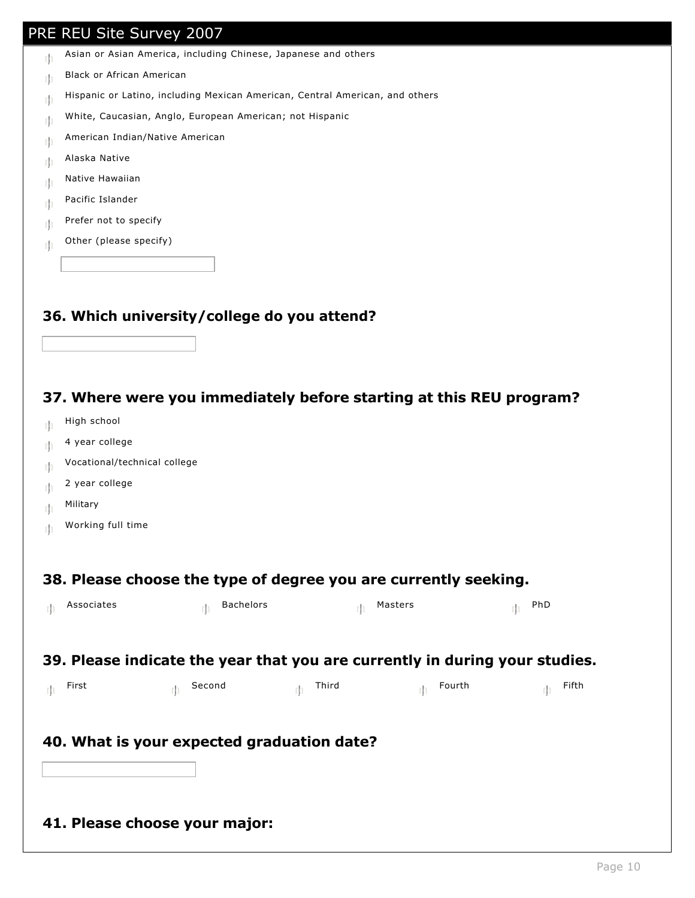- $\mathbb{F}$  Asian or Asian America, including Chinese, Japanese and others
- $\mathbb{R}$  Black or African American
- $\mathbb{F}$  Hispanic or Latino, including Mexican American, Central American, and others
- $\parallel$  White, Caucasian, Anglo, European American; not Hispanic
- $\mathbb{E}$  American Indian/Native American
- $m_{\parallel}$  Alaska Native
- $m_{\parallel}$  Native Hawaiian
- $\mathbb{E}$  Pacific Islander
- $m$  Prefer not to specify
- $\mathbb{F}$  Other (please specify)

#### **36. Which university/college do you attend?**

#### **37. Where were you immediately before starting at this REU program?**

- $\mathbb{F}$  High school
- $m_1$  4 year college
- $\mathbb{E}$  Vocational/technical college
- $m_1$  2 year college
- $\mathbb{M}$  Military
- $m$  Working full time

#### **38. Please choose the type of degree you are currently seeking.**

| Associates                                                                  | <b>Bachelors</b> |            | Masters | PhD   |
|-----------------------------------------------------------------------------|------------------|------------|---------|-------|
|                                                                             |                  |            |         |       |
| 39. Please indicate the year that you are currently in during your studies. |                  |            |         |       |
| First                                                                       | Second           | Third<br>m | Fourth  | Fifth |
|                                                                             |                  |            |         |       |
| 40. What is your expected graduation date?                                  |                  |            |         |       |
|                                                                             |                  |            |         |       |
|                                                                             |                  |            |         |       |
| 41. Please choose your major:                                               |                  |            |         |       |
|                                                                             |                  |            |         |       |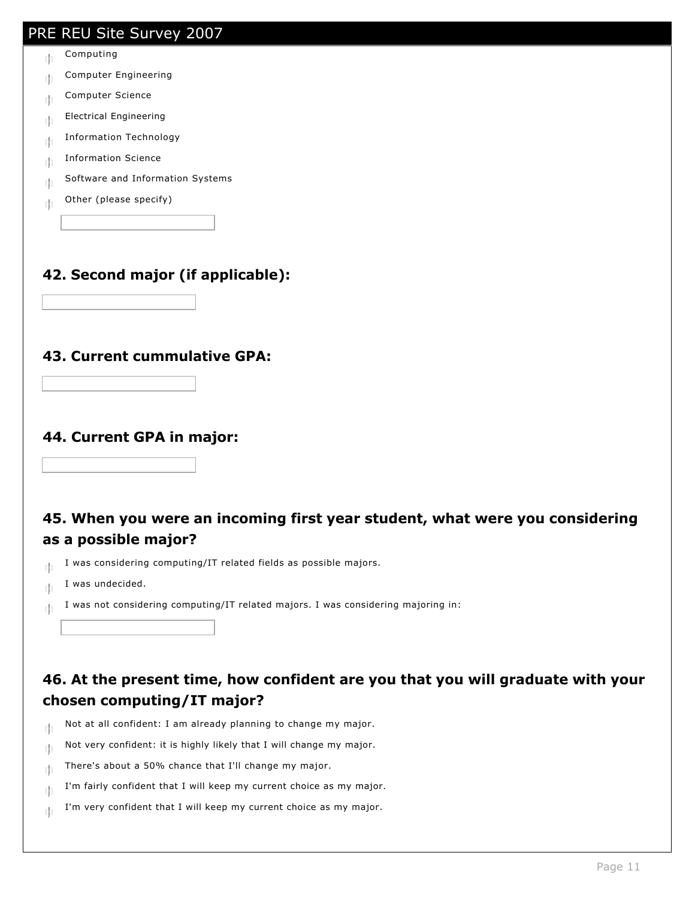# PRE REU Site Survey 2007  $m$  Computing  $m$  Computer Engineering  $\mathbb{E}$  Computer Science  $m_{\parallel}$  Electrical Engineering  $\mathbb{E}$  Information Technology  $m$  Information Science  $\mathbb{R}$  Software and Information Systems  $\mathbb{R}$  Other (please specify) **42. Second major (if applicable): 43. Current cummulative GPA: 44. Current GPA in major: 45. When you were an incoming first year student, what were you considering as a possible major?**  $\mathbb{R}$  I was considering computing/IT related fields as possible majors.  $\mathbb{I}$  I was undecided.  $\|\cdot\|$  I was not considering computing/IT related majors. I was considering majoring in: **46. At the present time, how confident are you that you will graduate with your chosen computing/IT major?**   $\parallel$  Not at all confident: I am already planning to change my major.  $\parallel$  Not very confident: it is highly likely that I will change my major.  $\mathbb{R}$  There's about a 50% chance that I'll change my major.

- $\mathbb{I}$  I'm fairly confident that I will keep my current choice as my major.
- $\mathbb{I}$  I'm very confident that I will keep my current choice as my major.